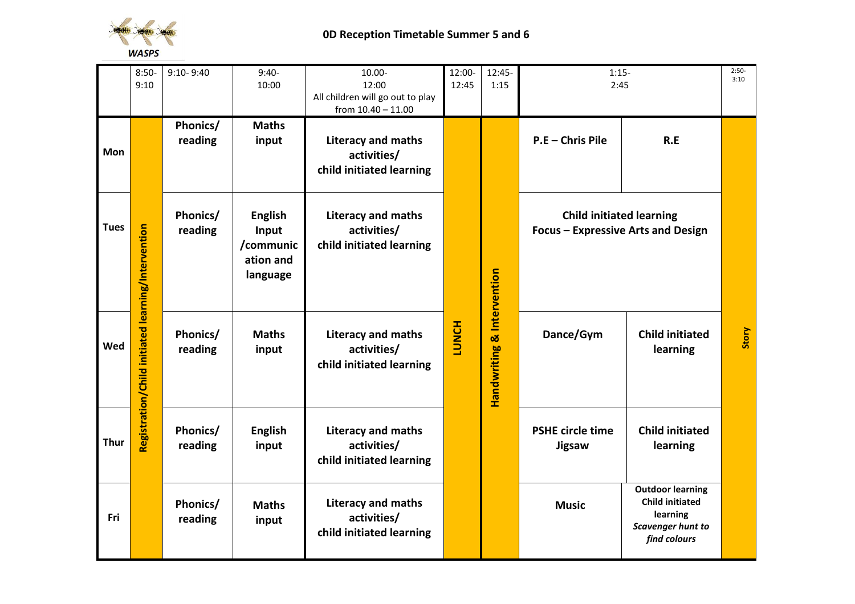

## **0D Reception Timetable Summer 5 and 6**

|             | $8:50-$<br>9:10                                    | $9:10 - 9:40$       | $9:40-$<br>10:00                                              | 10.00-<br>12:00<br>All children will go out to play<br>from 10.40 - 11.00 | 12:00-<br>12:45 | 12:45-<br>1:15 | $1:15-$<br>2:45                                                       |                                                                                                    | $2:50-$<br>3:10 |
|-------------|----------------------------------------------------|---------------------|---------------------------------------------------------------|---------------------------------------------------------------------------|-----------------|----------------|-----------------------------------------------------------------------|----------------------------------------------------------------------------------------------------|-----------------|
| Mon         |                                                    | Phonics/<br>reading | <b>Maths</b><br>input                                         | Literacy and maths<br>activities/<br>child initiated learning             |                 |                | P.E - Chris Pile                                                      | R.E                                                                                                |                 |
| <b>Tues</b> |                                                    | Phonics/<br>reading | <b>English</b><br>Input<br>/communic<br>ation and<br>language | <b>Literacy and maths</b><br>activities/<br>child initiated learning      |                 | & Intervention | <b>Child initiated learning</b><br>Focus - Expressive Arts and Design |                                                                                                    |                 |
| Wed         | Registration/Child initiated learning/Intervention | Phonics/<br>reading | <b>Maths</b><br>input                                         | Literacy and maths<br>activities/<br>child initiated learning             | <b>LUNCH</b>    | Handwriting    | Dance/Gym                                                             | <b>Child initiated</b><br>learning                                                                 | Story           |
| <b>Thur</b> |                                                    | Phonics/<br>reading | <b>English</b><br>input                                       | <b>Literacy and maths</b><br>activities/<br>child initiated learning      |                 |                | <b>PSHE circle time</b><br>Jigsaw                                     | <b>Child initiated</b><br>learning                                                                 |                 |
| Fri         |                                                    | Phonics/<br>reading | <b>Maths</b><br>input                                         | <b>Literacy and maths</b><br>activities/<br>child initiated learning      |                 |                | <b>Music</b>                                                          | <b>Outdoor learning</b><br><b>Child initiated</b><br>learning<br>Scavenger hunt to<br>find colours |                 |